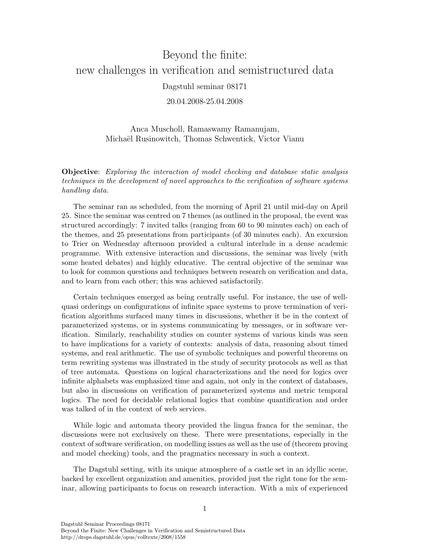## Beyond the finite: new challenges in verification and semistructured data Dagstuhl seminar 08171

20.04.2008-25.04.2008

Anca Muscholl, Ramaswamy Ramanujam, Michaël Rusinowitch, Thomas Schwentick, Victor Vianu

Objective: Exploring the interaction of model checking and database static analysis techniques in the development of novel approaches to the verification of software systems handling data.

The seminar ran as scheduled, from the morning of April 21 until mid-day on April 25. Since the seminar was centred on 7 themes (as outlined in the proposal, the event was structured accordingly: 7 invited talks (ranging from 60 to 90 minutes each) on each of the themes, and 25 presentations from participants (of 30 minutes each). An excursion to Trier on Wednesday afternoon provided a cultural interlude in a dense academic programme. With extensive interaction and discussions, the seminar was lively (with some heated debates) and highly educative. The central objective of the seminar was to look for common questions and techniques between research on verification and data, and to learn from each other; this was achieved satisfactorily.

Certain techniques emerged as being centrally useful. For instance, the use of wellquasi orderings on configurations of infinite space systems to prove termination of verification algorithms surfaced many times in discussions, whether it be in the context of parameterized systems, or in systems communicating by messages, or in software verification. Similarly, reachability studies on counter systems of various kinds was seen to have implications for a variety of contexts: analysis of data, reasoning about timed systems, and real arithmetic. The use of symbolic techniques and powerful theorems on term rewriting systems was illustrated in the study of security protocols as well as that of tree automata. Questions on logical characterizations and the need for logics over infinite alphabets was emphasized time and again, not only in the context of databases, but also in discussions on verification of parameterized systems and metric temporal logics. The need for decidable relational logics that combine quantification and order was talked of in the context of web services.

While logic and automata theory provided the lingua franca for the seminar, the discussions were not exclusively on these. There were presentations, especially in the context of software verification, on modelling issues as well as the use of (theorem proving and model checking) tools, and the pragmatics necessary in such a context.

The Dagstuhl setting, with its unique atmosphere of a castle set in an idyllic scene, backed by excellent organization and amenities, provided just the right tone for the seminar, allowing participants to focus on research interaction. With a mix of experienced

Dagstuhl Seminar Proceedings 08171 Beyond the Finite: New Challenges in Verification and Semistructured Data http://drops.dagstuhl.de/opus/volltexte/2008/1558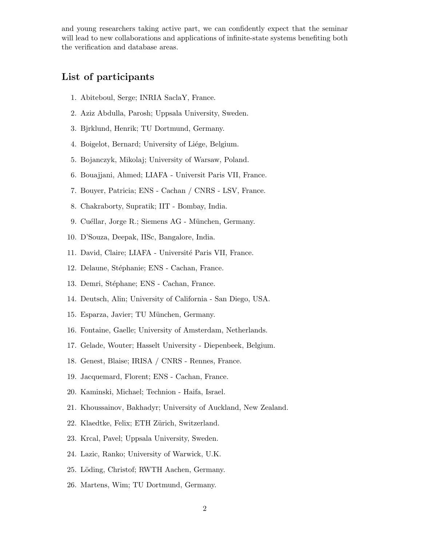and young researchers taking active part, we can confidently expect that the seminar will lead to new collaborations and applications of infinite-state systems benefiting both the verification and database areas.

## List of participants

- 1. Abiteboul, Serge; INRIA SaclaY, France.
- 2. Aziz Abdulla, Parosh; Uppsala University, Sweden.
- 3. Bjrklund, Henrik; TU Dortmund, Germany.
- 4. Boigelot, Bernard; University of Liége, Belgium.
- 5. Bojanczyk, Mikolaj; University of Warsaw, Poland.
- 6. Bouajjani, Ahmed; LIAFA Universit Paris VII, France.
- 7. Bouyer, Patricia; ENS Cachan / CNRS LSV, France.
- 8. Chakraborty, Supratik; IIT Bombay, India.
- 9. Cuéllar, Jorge R.; Siemens AG München, Germany.
- 10. D'Souza, Deepak, IISc, Bangalore, India.
- 11. David, Claire; LIAFA Université Paris VII, France.
- 12. Delaune, Stéphanie; ENS Cachan, France.
- 13. Demri, Stéphane; ENS Cachan, France.
- 14. Deutsch, Alin; University of California San Diego, USA.
- 15. Esparza, Javier; TU München, Germany.
- 16. Fontaine, Gaelle; University of Amsterdam, Netherlands.
- 17. Gelade, Wouter; Hasselt University Diepenbeek, Belgium.
- 18. Genest, Blaise; IRISA / CNRS Rennes, France.
- 19. Jacquemard, Florent; ENS Cachan, France.
- 20. Kaminski, Michael; Technion Haifa, Israel.
- 21. Khoussainov, Bakhadyr; University of Auckland, New Zealand.
- 22. Klaedtke, Felix; ETH Zürich, Switzerland.
- 23. Krcal, Pavel; Uppsala University, Sweden.
- 24. Lazic, Ranko; University of Warwick, U.K.
- 25. Löding, Christof; RWTH Aachen, Germany.
- 26. Martens, Wim; TU Dortmund, Germany.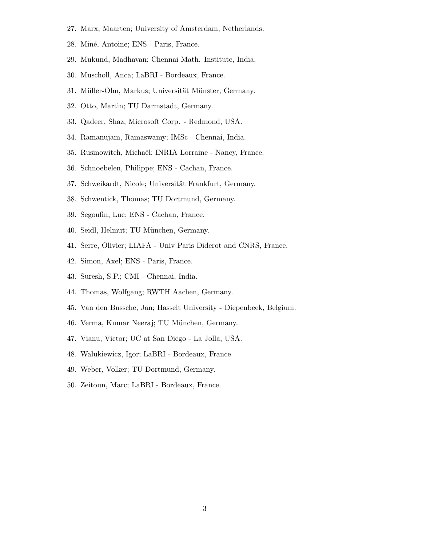- 27. Marx, Maarten; University of Amsterdam, Netherlands.
- 28. Miné, Antoine; ENS Paris, France.
- 29. Mukund, Madhavan; Chennai Math. Institute, India.
- 30. Muscholl, Anca; LaBRI Bordeaux, France.
- 31. Müller-Olm, Markus; Universität Münster, Germany.
- 32. Otto, Martin; TU Darmstadt, Germany.
- 33. Qadeer, Shaz; Microsoft Corp. Redmond, USA.
- 34. Ramanujam, Ramaswamy; IMSc Chennai, India.
- 35. Rusinowitch, Michaël; INRIA Lorraine Nancy, France.
- 36. Schnoebelen, Philippe; ENS Cachan, France.
- 37. Schweikardt, Nicole; Universität Frankfurt, Germany.
- 38. Schwentick, Thomas; TU Dortmund, Germany.
- 39. Segoufin, Luc; ENS Cachan, France.
- 40. Seidl, Helmut; TU München, Germany.
- 41. Serre, Olivier; LIAFA Univ Paris Diderot and CNRS, France.
- 42. Simon, Axel; ENS Paris, France.
- 43. Suresh, S.P.; CMI Chennai, India.
- 44. Thomas, Wolfgang; RWTH Aachen, Germany.
- 45. Van den Bussche, Jan; Hasselt University Diepenbeek, Belgium.
- 46. Verma, Kumar Neeraj; TU München, Germany.
- 47. Vianu, Victor; UC at San Diego La Jolla, USA.
- 48. Walukiewicz, Igor; LaBRI Bordeaux, France.
- 49. Weber, Volker; TU Dortmund, Germany.
- 50. Zeitoun, Marc; LaBRI Bordeaux, France.